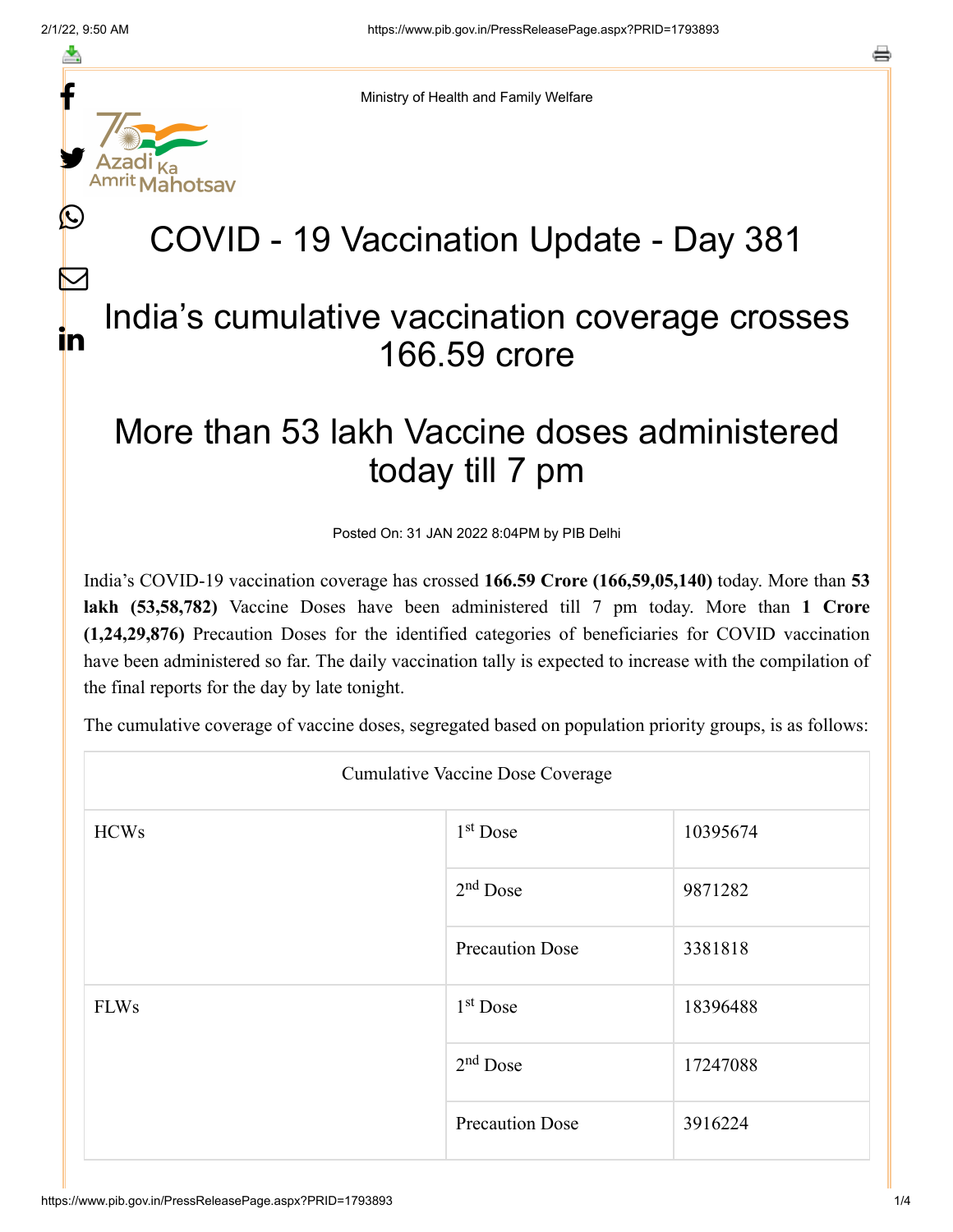f

≛

y.

 $\mathbb{C}$ 

 $\bm{\nabla}$ 

in

Ministry of Health and Family Welfare

## COVID - 19 Vaccination Update - Day 381

## India's cumulative vaccination coverage crosses 166.59 crore

## More than 53 lakh Vaccine doses administered today till 7 pm

Posted On: 31 JAN 2022 8:04PM by PIB Delhi

India's COVID-19 vaccination coverage has crossed **166.59 Crore (166,59,05,140)** today. More than **53 lakh (53,58,782)** Vaccine Doses have been administered till 7 pm today. More than **1 Crore (1,24,29,876)** Precaution Doses for the identified categories of beneficiaries for COVID vaccination have been administered so far. The daily vaccination tally is expected to increase with the compilation of the final reports for the day by late tonight.

The cumulative coverage of vaccine doses, segregated based on population priority groups, is as follows:

| <b>Cumulative Vaccine Dose Coverage</b> |                        |          |  |  |
|-----------------------------------------|------------------------|----------|--|--|
| <b>HCWs</b>                             | 1 <sup>st</sup> Dose   | 10395674 |  |  |
|                                         | $2nd$ Dose             | 9871282  |  |  |
|                                         | <b>Precaution Dose</b> | 3381818  |  |  |
| <b>FLWs</b>                             | $1st$ Dose             | 18396488 |  |  |
|                                         | $2nd$ Dose             | 17247088 |  |  |
|                                         | <b>Precaution Dose</b> | 3916224  |  |  |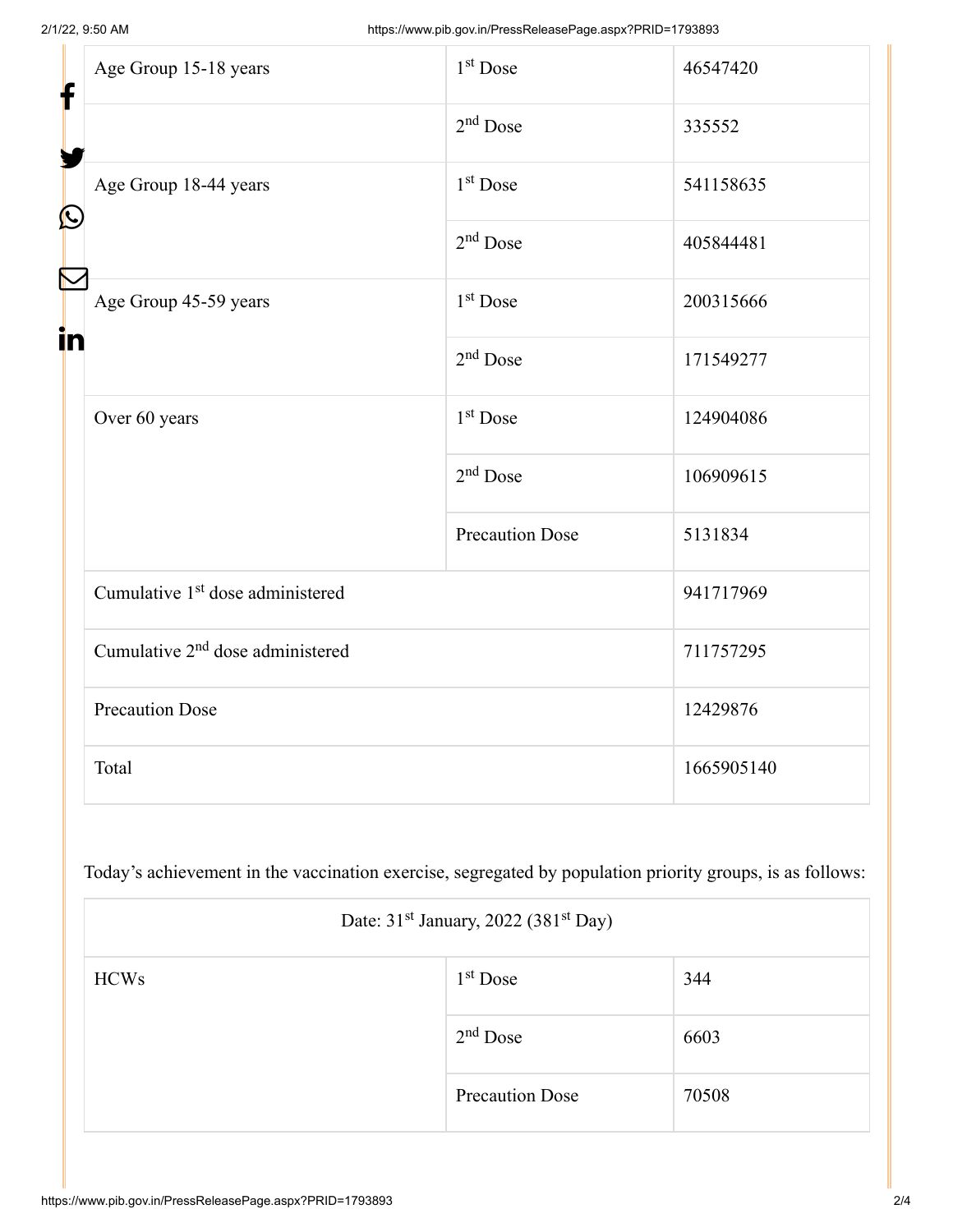| f<br>$\bf \Omega$ | Age Group 15-18 years                        | $1st$ Dose             | 46547420   |
|-------------------|----------------------------------------------|------------------------|------------|
|                   |                                              | $2nd$ Dose             | 335552     |
|                   | Age Group 18-44 years                        | 1 <sup>st</sup> Dose   | 541158635  |
|                   |                                              | $2nd$ Dose             | 405844481  |
| in                | Age Group 45-59 years                        | 1 <sup>st</sup> Dose   | 200315666  |
|                   |                                              | $2nd$ Dose             | 171549277  |
|                   | Over 60 years                                | 1 <sup>st</sup> Dose   | 124904086  |
|                   |                                              | $2nd$ Dose             | 106909615  |
|                   |                                              | <b>Precaution Dose</b> | 5131834    |
|                   | Cumulative 1 <sup>st</sup> dose administered |                        | 941717969  |
|                   | Cumulative 2 <sup>nd</sup> dose administered |                        | 711757295  |
|                   | <b>Precaution Dose</b>                       |                        | 12429876   |
|                   | Total                                        |                        | 1665905140 |

Today's achievement in the vaccination exercise, segregated by population priority groups, is as follows:

| Date: $31st$ January, 2022 (381 <sup>st</sup> Day) |                        |       |  |
|----------------------------------------------------|------------------------|-------|--|
| <b>HCWs</b>                                        | $1st$ Dose             | 344   |  |
|                                                    | $2nd$ Dose             | 6603  |  |
|                                                    | <b>Precaution Dose</b> | 70508 |  |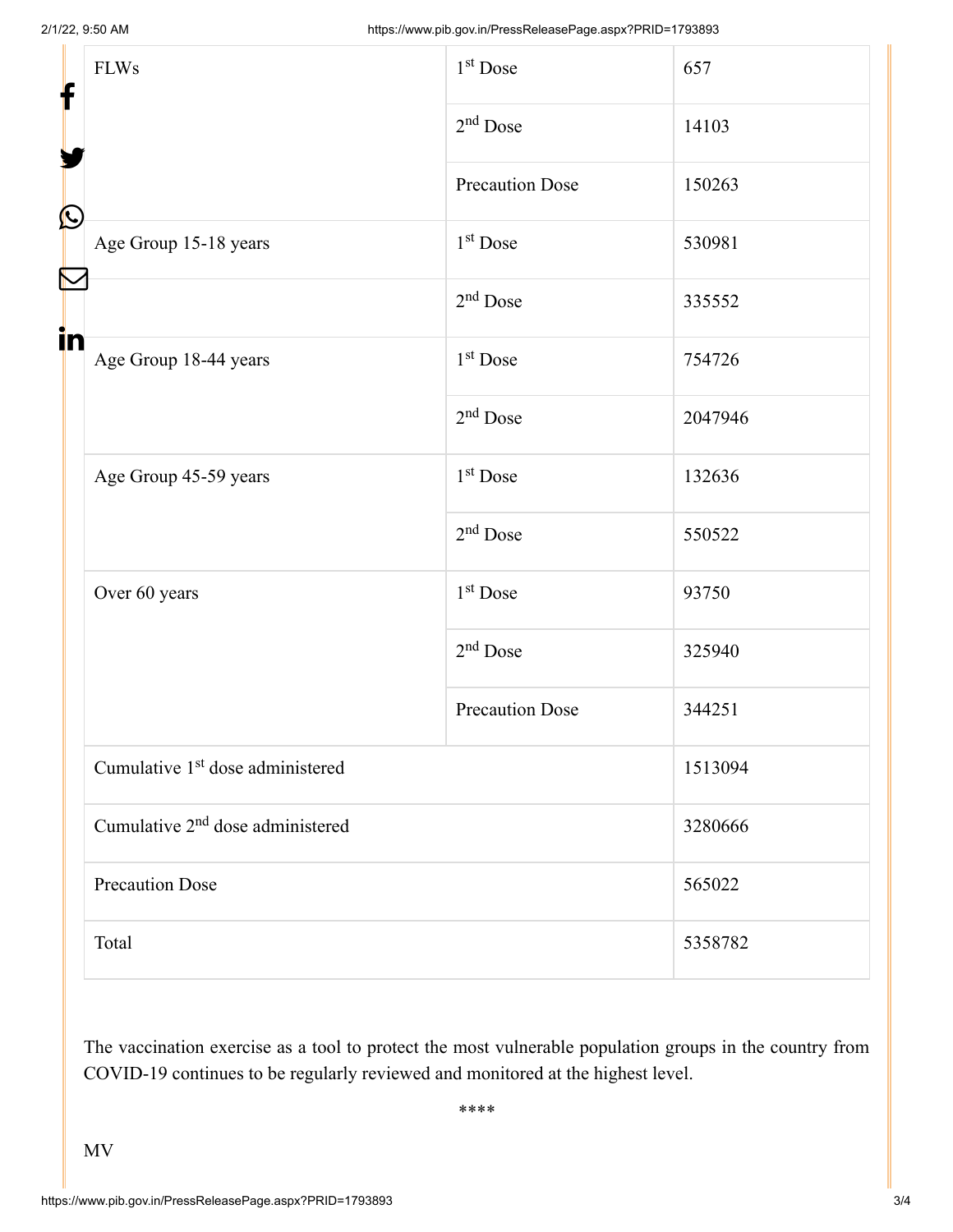| f<br>$\bf \Omega$<br>in | <b>FLWs</b>                                  | 1 <sup>st</sup> Dose   | 657     |
|-------------------------|----------------------------------------------|------------------------|---------|
|                         |                                              | $2nd$ Dose             | 14103   |
|                         |                                              | <b>Precaution Dose</b> | 150263  |
|                         | Age Group 15-18 years                        | $1st$ Dose             | 530981  |
|                         |                                              | $2nd$ Dose             | 335552  |
|                         | Age Group 18-44 years                        | $1st$ Dose             | 754726  |
|                         |                                              | $2nd$ Dose             | 2047946 |
|                         | Age Group 45-59 years                        | 1 <sup>st</sup> Dose   | 132636  |
|                         |                                              | $2nd$ Dose             | 550522  |
|                         | Over 60 years                                | $1st$ Dose             | 93750   |
|                         |                                              | $2nd$ Dose             | 325940  |
|                         |                                              | <b>Precaution Dose</b> | 344251  |
|                         | Cumulative 1 <sup>st</sup> dose administered |                        | 1513094 |
|                         | Cumulative 2 <sup>nd</sup> dose administered |                        | 3280666 |
|                         | <b>Precaution Dose</b>                       |                        | 565022  |
|                         | Total                                        |                        | 5358782 |

The vaccination exercise as a tool to protect the most vulnerable population groups in the country from COVID-19 continues to be regularly reviewed and monitored at the highest level.

\*\*\*\*

MV